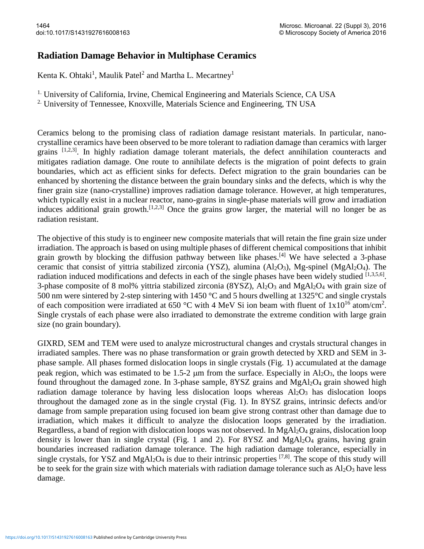## **Radiation Damage Behavior in Multiphase Ceramics**

Kenta K. Ohtaki<sup>1</sup>, Maulik Patel<sup>2</sup> and Martha L. Mecartney<sup>1</sup>

<sup>1.</sup> University of California, Irvine, Chemical Engineering and Materials Science, CA USA

<sup>2.</sup> University of Tennessee, Knoxville, Materials Science and Engineering, TN USA

Ceramics belong to the promising class of radiation damage resistant materials. In particular, nanocrystalline ceramics have been observed to be more tolerant to radiation damage than ceramics with larger grains  $[1,2,3]$ . In highly radiation damage tolerant materials, the defect annihilation counteracts and mitigates radiation damage. One route to annihilate defects is the migration of point defects to grain boundaries, which act as efficient sinks for defects. Defect migration to the grain boundaries can be enhanced by shortening the distance between the grain boundary sinks and the defects, which is why the finer grain size (nano-crystalline) improves radiation damage tolerance. However, at high temperatures, which typically exist in a nuclear reactor, nano-grains in single-phase materials will grow and irradiation induces additional grain growth.<sup>[1,2,3]</sup> Once the grains grow larger, the material will no longer be as radiation resistant.

The objective of this study is to engineer new composite materials that will retain the fine grain size under irradiation. The approach is based on using multiple phases of different chemical compositions that inhibit grain growth by blocking the diffusion pathway between like phases.<sup>[4]</sup> We have selected a 3-phase ceramic that consist of yittria stabilized zirconia (YSZ), alumina  $(A<sub>12</sub>O<sub>3</sub>)$ , Mg-spinel (MgAl<sub>2</sub>O<sub>4</sub>). The radiation induced modifications and defects in each of the single phases have been widely studied  $[1,3,5,6]$ . 3-phase composite of 8 mol% yittria stabilized zirconia  $(8YSZ)$ ,  $Al_2O_3$  and  $MgAl_2O_4$  with grain size of 500 nm were sintered by 2-step sintering with 1450 °C and 5 hours dwelling at 1325°C and single crystals of each composition were irradiated at 650 °C with 4 MeV Si ion beam with fluent of  $1x10^{16}$  atom/cm<sup>2</sup>. Single crystals of each phase were also irradiated to demonstrate the extreme condition with large grain size (no grain boundary).

GIXRD, SEM and TEM were used to analyze microstructural changes and crystals structural changes in irradiated samples. There was no phase transformation or grain growth detected by XRD and SEM in 3 phase sample. All phases formed dislocation loops in single crystals (Fig. 1) accumulated at the damage peak region, which was estimated to be 1.5-2  $\mu$ m from the surface. Especially in Al<sub>2</sub>O<sub>3</sub>, the loops were found throughout the damaged zone. In 3-phase sample, 8YSZ grains and MgAl2O<sup>4</sup> grain showed high radiation damage tolerance by having less dislocation loops whereas  $Al_2O_3$  has dislocation loops throughout the damaged zone as in the single crystal (Fig. 1). In 8YSZ grains, intrinsic defects and/or damage from sample preparation using focused ion beam give strong contrast other than damage due to irradiation, which makes it difficult to analyze the dislocation loops generated by the irradiation. Regardless, a band of region with dislocation loops was not observed. In MgAl2O<sup>4</sup> grains, dislocation loop density is lower than in single crystal (Fig. 1 and 2). For  $8YSZ$  and  $MgAl<sub>2</sub>O<sub>4</sub>$  grains, having grain boundaries increased radiation damage tolerance. The high radiation damage tolerance, especially in single crystals, for YSZ and MgAl<sub>2</sub>O<sub>4</sub> is due to their intrinsic properties  $^{[7,8]}$ . The scope of this study will be to seek for the grain size with which materials with radiation damage tolerance such as  $Al_2O_3$  have less damage.